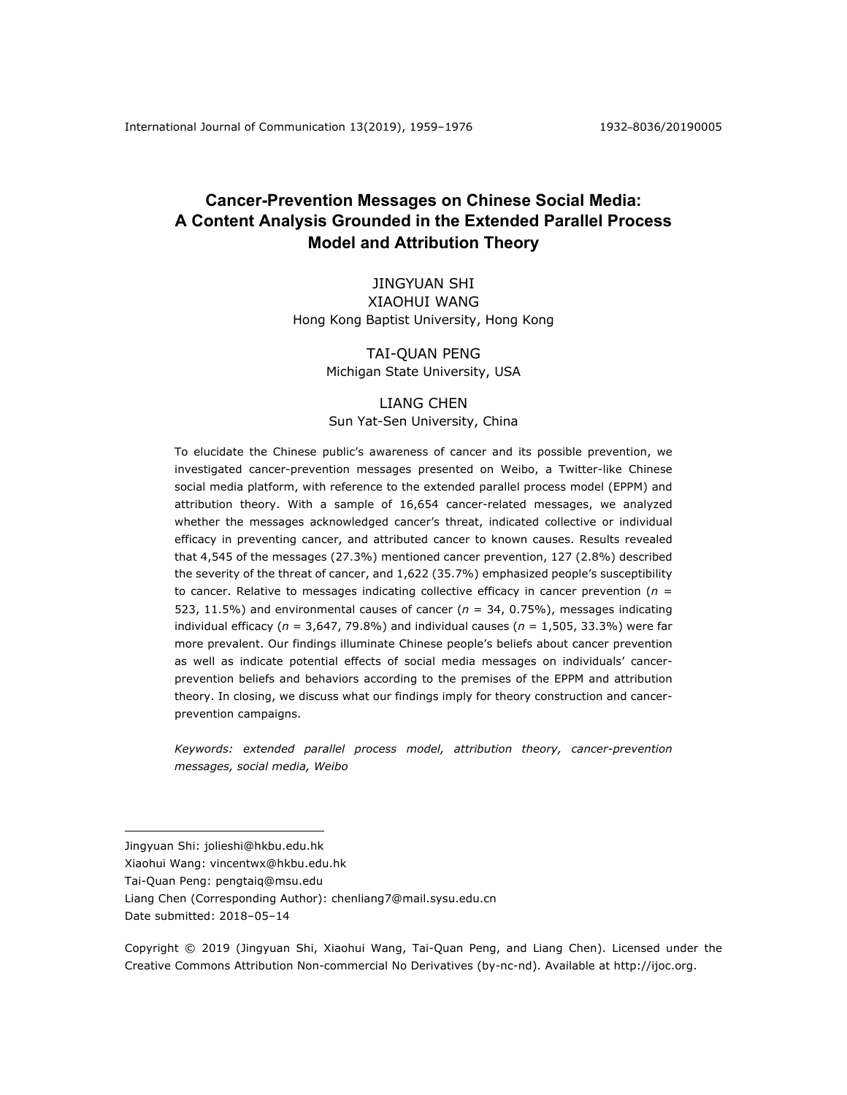# **Cancer-Prevention Messages on Chinese Social Media: A Content Analysis Grounded in the Extended Parallel Process Model and Attribution Theory**

# JINGYUAN SHI XIAOHUI WANG Hong Kong Baptist University, Hong Kong

# TAI-QUAN PENG Michigan State University, USA

# LIANG CHEN Sun Yat-Sen University, China

To elucidate the Chinese public's awareness of cancer and its possible prevention, we investigated cancer-prevention messages presented on Weibo, a Twitter-like Chinese social media platform, with reference to the extended parallel process model (EPPM) and attribution theory. With a sample of 16,654 cancer-related messages, we analyzed whether the messages acknowledged cancer's threat, indicated collective or individual efficacy in preventing cancer, and attributed cancer to known causes. Results revealed that 4,545 of the messages (27.3%) mentioned cancer prevention, 127 (2.8%) described the severity of the threat of cancer, and 1,622 (35.7%) emphasized people's susceptibility to cancer. Relative to messages indicating collective efficacy in cancer prevention ( $n =$ 523, 11.5%) and environmental causes of cancer (*n* = 34, 0.75%), messages indicating individual efficacy ( $n = 3,647,79.8\%$ ) and individual causes ( $n = 1,505,33.3\%$ ) were far more prevalent. Our findings illuminate Chinese people's beliefs about cancer prevention as well as indicate potential effects of social media messages on individuals' cancerprevention beliefs and behaviors according to the premises of the EPPM and attribution theory. In closing, we discuss what our findings imply for theory construction and cancerprevention campaigns.

*Keywords: extended parallel process model, attribution theory, cancer-prevention messages, social media, Weibo*

Date submitted: 2018–05–14

1

Jingyuan Shi: jolieshi@hkbu.edu.hk

Xiaohui Wang: vincentwx@hkbu.edu.hk

Tai-Quan Peng: pengtaiq@msu.edu

Liang Chen (Corresponding Author): chenliang7@mail.sysu.edu.cn

Copyright © 2019 (Jingyuan Shi, Xiaohui Wang, Tai-Quan Peng, and Liang Chen). Licensed under the Creative Commons Attribution Non-commercial No Derivatives (by-nc-nd). Available at http://ijoc.org.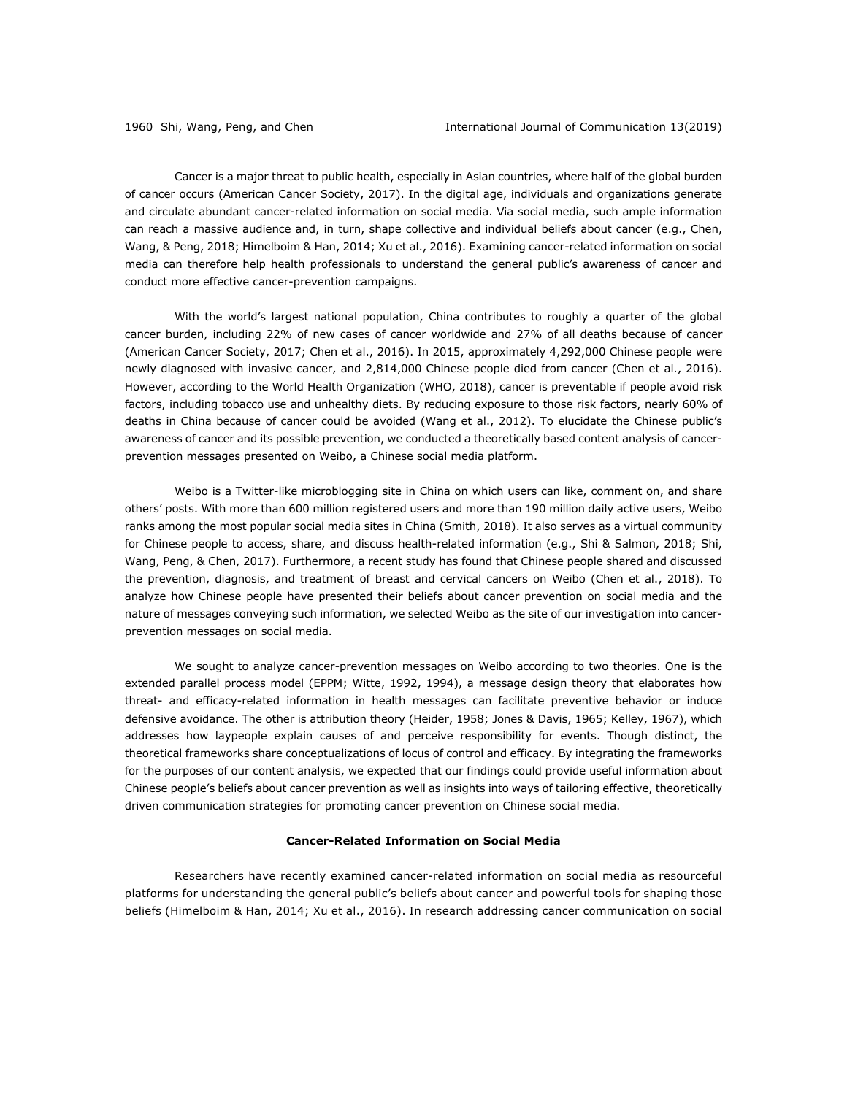Cancer is a major threat to public health, especially in Asian countries, where half of the global burden of cancer occurs (American Cancer Society, 2017). In the digital age, individuals and organizations generate and circulate abundant cancer-related information on social media. Via social media, such ample information can reach a massive audience and, in turn, shape collective and individual beliefs about cancer (e.g., Chen, Wang, & Peng, 2018; Himelboim & Han, 2014; Xu et al., 2016). Examining cancer-related information on social media can therefore help health professionals to understand the general public's awareness of cancer and conduct more effective cancer-prevention campaigns.

With the world's largest national population, China contributes to roughly a quarter of the global cancer burden, including 22% of new cases of cancer worldwide and 27% of all deaths because of cancer (American Cancer Society, 2017; Chen et al., 2016). In 2015, approximately 4,292,000 Chinese people were newly diagnosed with invasive cancer, and 2,814,000 Chinese people died from cancer (Chen et al., 2016). However, according to the World Health Organization (WHO, 2018), cancer is preventable if people avoid risk factors, including tobacco use and unhealthy diets. By reducing exposure to those risk factors, nearly 60% of deaths in China because of cancer could be avoided (Wang et al., 2012). To elucidate the Chinese public's awareness of cancer and its possible prevention, we conducted a theoretically based content analysis of cancerprevention messages presented on Weibo, a Chinese social media platform.

Weibo is a Twitter-like microblogging site in China on which users can like, comment on, and share others' posts. With more than 600 million registered users and more than 190 million daily active users, Weibo ranks among the most popular social media sites in China (Smith, 2018). It also serves as a virtual community for Chinese people to access, share, and discuss health-related information (e.g., Shi & Salmon, 2018; Shi, Wang, Peng, & Chen, 2017). Furthermore, a recent study has found that Chinese people shared and discussed the prevention, diagnosis, and treatment of breast and cervical cancers on Weibo (Chen et al., 2018). To analyze how Chinese people have presented their beliefs about cancer prevention on social media and the nature of messages conveying such information, we selected Weibo as the site of our investigation into cancerprevention messages on social media.

We sought to analyze cancer-prevention messages on Weibo according to two theories. One is the extended parallel process model (EPPM; Witte, 1992, 1994), a message design theory that elaborates how threat- and efficacy-related information in health messages can facilitate preventive behavior or induce defensive avoidance. The other is attribution theory (Heider, 1958; Jones & Davis, 1965; Kelley, 1967), which addresses how laypeople explain causes of and perceive responsibility for events. Though distinct, the theoretical frameworks share conceptualizations of locus of control and efficacy. By integrating the frameworks for the purposes of our content analysis, we expected that our findings could provide useful information about Chinese people's beliefs about cancer prevention as well as insights into ways of tailoring effective, theoretically driven communication strategies for promoting cancer prevention on Chinese social media.

# **Cancer-Related Information on Social Media**

Researchers have recently examined cancer-related information on social media as resourceful platforms for understanding the general public's beliefs about cancer and powerful tools for shaping those beliefs (Himelboim & Han, 2014; Xu et al., 2016). In research addressing cancer communication on social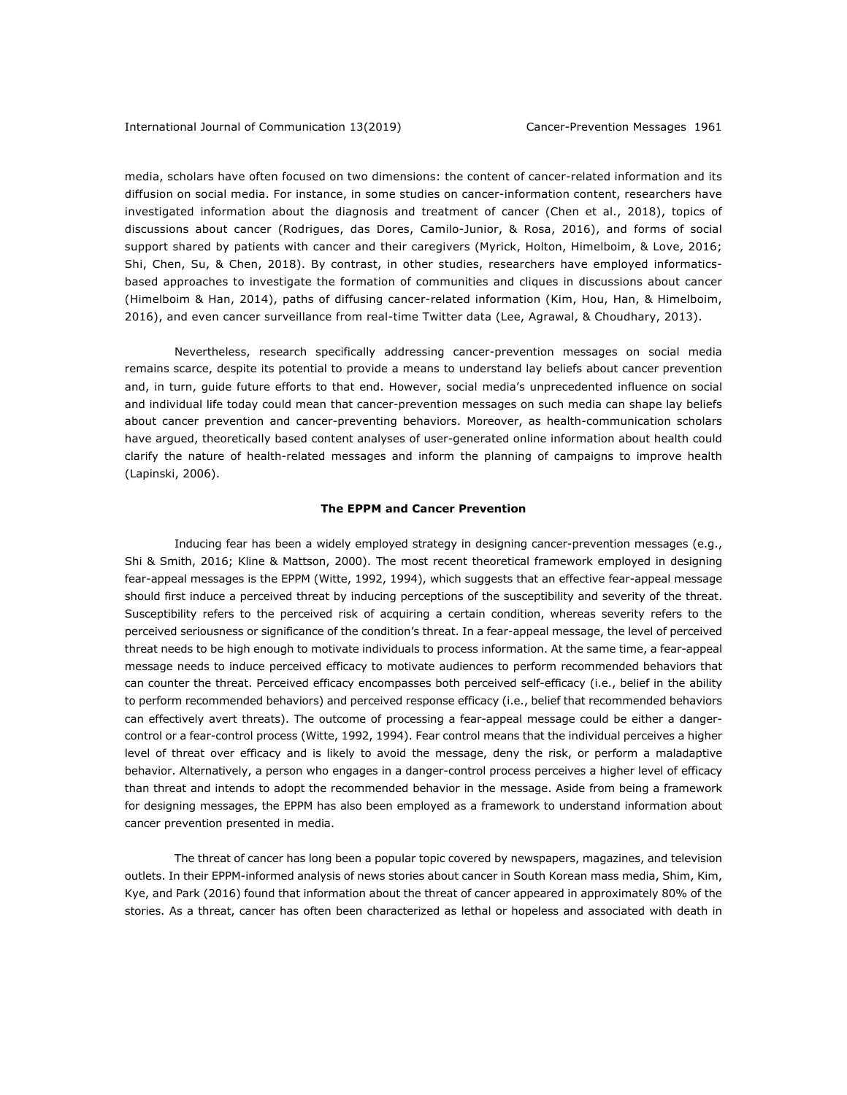media, scholars have often focused on two dimensions: the content of cancer-related information and its diffusion on social media. For instance, in some studies on cancer-information content, researchers have investigated information about the diagnosis and treatment of cancer (Chen et al., 2018), topics of discussions about cancer (Rodrigues, das Dores, Camilo-Junior, & Rosa, 2016), and forms of social support shared by patients with cancer and their caregivers (Myrick, Holton, Himelboim, & Love, 2016; Shi, Chen, Su, & Chen, 2018). By contrast, in other studies, researchers have employed informaticsbased approaches to investigate the formation of communities and cliques in discussions about cancer (Himelboim & Han, 2014), paths of diffusing cancer-related information (Kim, Hou, Han, & Himelboim, 2016), and even cancer surveillance from real-time Twitter data (Lee, Agrawal, & Choudhary, 2013).

Nevertheless, research specifically addressing cancer-prevention messages on social media remains scarce, despite its potential to provide a means to understand lay beliefs about cancer prevention and, in turn, guide future efforts to that end. However, social media's unprecedented influence on social and individual life today could mean that cancer-prevention messages on such media can shape lay beliefs about cancer prevention and cancer-preventing behaviors. Moreover, as health-communication scholars have argued, theoretically based content analyses of user-generated online information about health could clarify the nature of health-related messages and inform the planning of campaigns to improve health (Lapinski, 2006).

### **The EPPM and Cancer Prevention**

Inducing fear has been a widely employed strategy in designing cancer-prevention messages (e.g., Shi & Smith, 2016; Kline & Mattson, 2000). The most recent theoretical framework employed in designing fear-appeal messages is the EPPM (Witte, 1992, 1994), which suggests that an effective fear-appeal message should first induce a perceived threat by inducing perceptions of the susceptibility and severity of the threat. Susceptibility refers to the perceived risk of acquiring a certain condition, whereas severity refers to the perceived seriousness or significance of the condition's threat. In a fear-appeal message, the level of perceived threat needs to be high enough to motivate individuals to process information. At the same time, a fear-appeal message needs to induce perceived efficacy to motivate audiences to perform recommended behaviors that can counter the threat. Perceived efficacy encompasses both perceived self-efficacy (i.e., belief in the ability to perform recommended behaviors) and perceived response efficacy (i.e., belief that recommended behaviors can effectively avert threats). The outcome of processing a fear-appeal message could be either a dangercontrol or a fear-control process (Witte, 1992, 1994). Fear control means that the individual perceives a higher level of threat over efficacy and is likely to avoid the message, deny the risk, or perform a maladaptive behavior. Alternatively, a person who engages in a danger-control process perceives a higher level of efficacy than threat and intends to adopt the recommended behavior in the message. Aside from being a framework for designing messages, the EPPM has also been employed as a framework to understand information about cancer prevention presented in media.

The threat of cancer has long been a popular topic covered by newspapers, magazines, and television outlets. In their EPPM-informed analysis of news stories about cancer in South Korean mass media, Shim, Kim, Kye, and Park (2016) found that information about the threat of cancer appeared in approximately 80% of the stories. As a threat, cancer has often been characterized as lethal or hopeless and associated with death in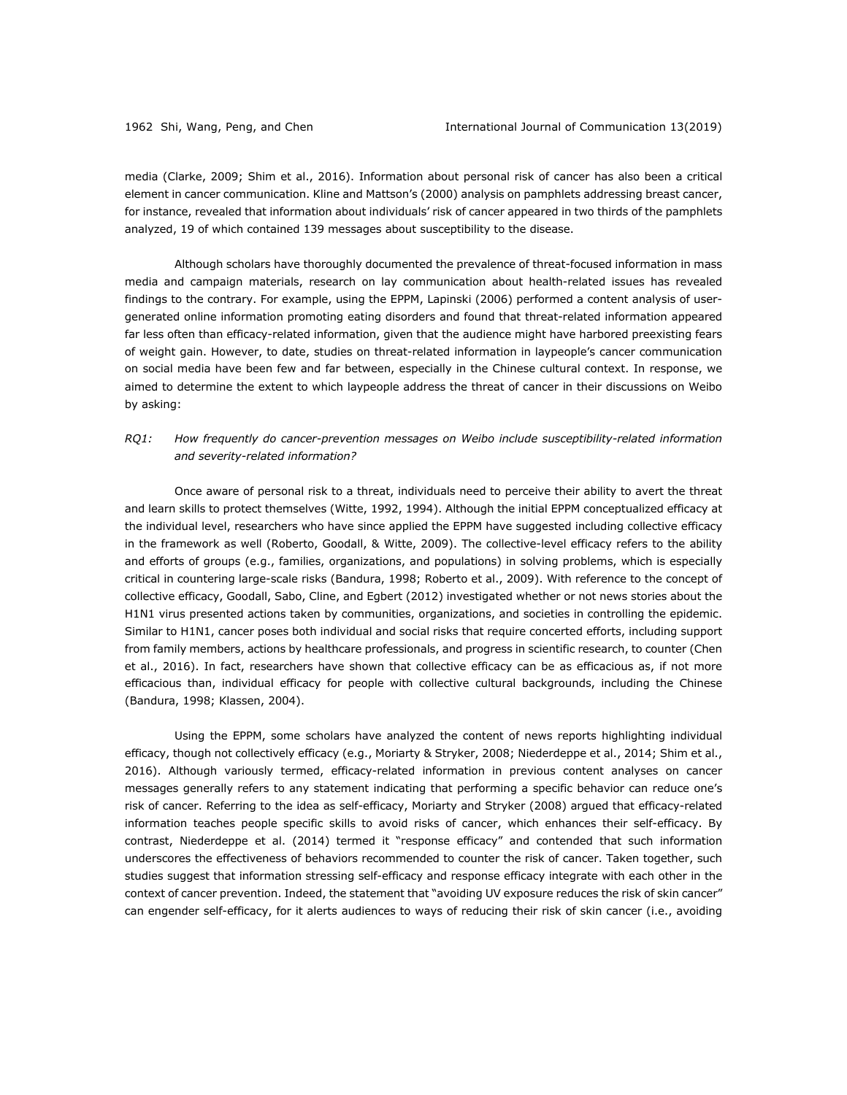media (Clarke, 2009; Shim et al., 2016). Information about personal risk of cancer has also been a critical element in cancer communication. Kline and Mattson's (2000) analysis on pamphlets addressing breast cancer, for instance, revealed that information about individuals' risk of cancer appeared in two thirds of the pamphlets analyzed, 19 of which contained 139 messages about susceptibility to the disease.

Although scholars have thoroughly documented the prevalence of threat-focused information in mass media and campaign materials, research on lay communication about health-related issues has revealed findings to the contrary. For example, using the EPPM, Lapinski (2006) performed a content analysis of usergenerated online information promoting eating disorders and found that threat-related information appeared far less often than efficacy-related information, given that the audience might have harbored preexisting fears of weight gain. However, to date, studies on threat-related information in laypeople's cancer communication on social media have been few and far between, especially in the Chinese cultural context. In response, we aimed to determine the extent to which laypeople address the threat of cancer in their discussions on Weibo by asking:

# *RQ1: How frequently do cancer-prevention messages on Weibo include susceptibility-related information and severity-related information?*

Once aware of personal risk to a threat, individuals need to perceive their ability to avert the threat and learn skills to protect themselves (Witte, 1992, 1994). Although the initial EPPM conceptualized efficacy at the individual level, researchers who have since applied the EPPM have suggested including collective efficacy in the framework as well (Roberto, Goodall, & Witte, 2009). The collective-level efficacy refers to the ability and efforts of groups (e.g., families, organizations, and populations) in solving problems, which is especially critical in countering large-scale risks (Bandura, 1998; Roberto et al., 2009). With reference to the concept of collective efficacy, Goodall, Sabo, Cline, and Egbert (2012) investigated whether or not news stories about the H1N1 virus presented actions taken by communities, organizations, and societies in controlling the epidemic. Similar to H1N1, cancer poses both individual and social risks that require concerted efforts, including support from family members, actions by healthcare professionals, and progress in scientific research, to counter (Chen et al., 2016). In fact, researchers have shown that collective efficacy can be as efficacious as, if not more efficacious than, individual efficacy for people with collective cultural backgrounds, including the Chinese (Bandura, 1998; Klassen, 2004).

Using the EPPM, some scholars have analyzed the content of news reports highlighting individual efficacy, though not collectively efficacy (e.g., Moriarty & Stryker, 2008; Niederdeppe et al., 2014; Shim et al., 2016). Although variously termed, efficacy-related information in previous content analyses on cancer messages generally refers to any statement indicating that performing a specific behavior can reduce one's risk of cancer. Referring to the idea as self-efficacy, Moriarty and Stryker (2008) argued that efficacy-related information teaches people specific skills to avoid risks of cancer, which enhances their self-efficacy. By contrast, Niederdeppe et al. (2014) termed it "response efficacy" and contended that such information underscores the effectiveness of behaviors recommended to counter the risk of cancer. Taken together, such studies suggest that information stressing self-efficacy and response efficacy integrate with each other in the context of cancer prevention. Indeed, the statement that "avoiding UV exposure reduces the risk of skin cancer" can engender self-efficacy, for it alerts audiences to ways of reducing their risk of skin cancer (i.e., avoiding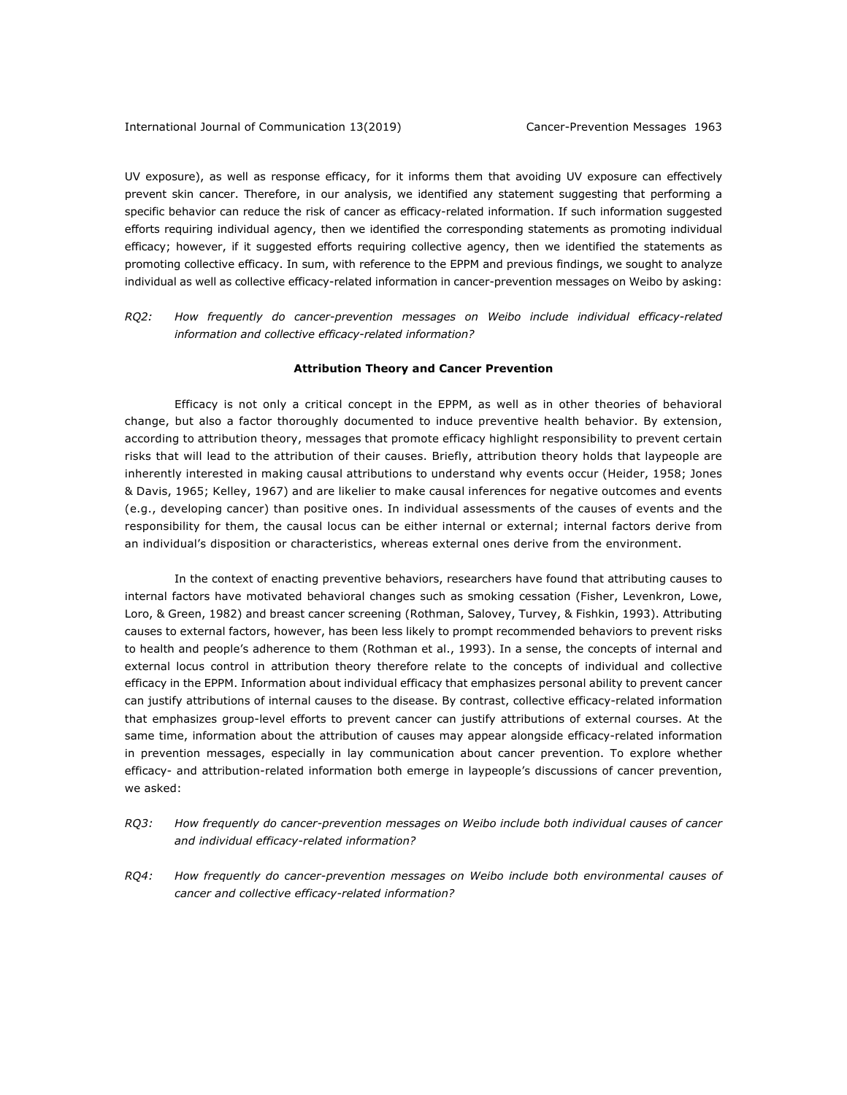UV exposure), as well as response efficacy, for it informs them that avoiding UV exposure can effectively prevent skin cancer. Therefore, in our analysis, we identified any statement suggesting that performing a specific behavior can reduce the risk of cancer as efficacy-related information. If such information suggested efforts requiring individual agency, then we identified the corresponding statements as promoting individual efficacy; however, if it suggested efforts requiring collective agency, then we identified the statements as promoting collective efficacy. In sum, with reference to the EPPM and previous findings, we sought to analyze individual as well as collective efficacy-related information in cancer-prevention messages on Weibo by asking:

*RQ2: How frequently do cancer-prevention messages on Weibo include individual efficacy-related information and collective efficacy-related information?*

#### **Attribution Theory and Cancer Prevention**

Efficacy is not only a critical concept in the EPPM, as well as in other theories of behavioral change, but also a factor thoroughly documented to induce preventive health behavior. By extension, according to attribution theory, messages that promote efficacy highlight responsibility to prevent certain risks that will lead to the attribution of their causes. Briefly, attribution theory holds that laypeople are inherently interested in making causal attributions to understand why events occur (Heider, 1958; Jones & Davis, 1965; Kelley, 1967) and are likelier to make causal inferences for negative outcomes and events (e.g., developing cancer) than positive ones. In individual assessments of the causes of events and the responsibility for them, the causal locus can be either internal or external; internal factors derive from an individual's disposition or characteristics, whereas external ones derive from the environment.

In the context of enacting preventive behaviors, researchers have found that attributing causes to internal factors have motivated behavioral changes such as smoking cessation (Fisher, Levenkron, Lowe, Loro, & Green, 1982) and breast cancer screening (Rothman, Salovey, Turvey, & Fishkin, 1993). Attributing causes to external factors, however, has been less likely to prompt recommended behaviors to prevent risks to health and people's adherence to them (Rothman et al., 1993). In a sense, the concepts of internal and external locus control in attribution theory therefore relate to the concepts of individual and collective efficacy in the EPPM. Information about individual efficacy that emphasizes personal ability to prevent cancer can justify attributions of internal causes to the disease. By contrast, collective efficacy-related information that emphasizes group-level efforts to prevent cancer can justify attributions of external courses. At the same time, information about the attribution of causes may appear alongside efficacy-related information in prevention messages, especially in lay communication about cancer prevention. To explore whether efficacy- and attribution-related information both emerge in laypeople's discussions of cancer prevention, we asked:

- *RQ3: How frequently do cancer-prevention messages on Weibo include both individual causes of cancer and individual efficacy-related information?*
- *RQ4: How frequently do cancer-prevention messages on Weibo include both environmental causes of cancer and collective efficacy-related information?*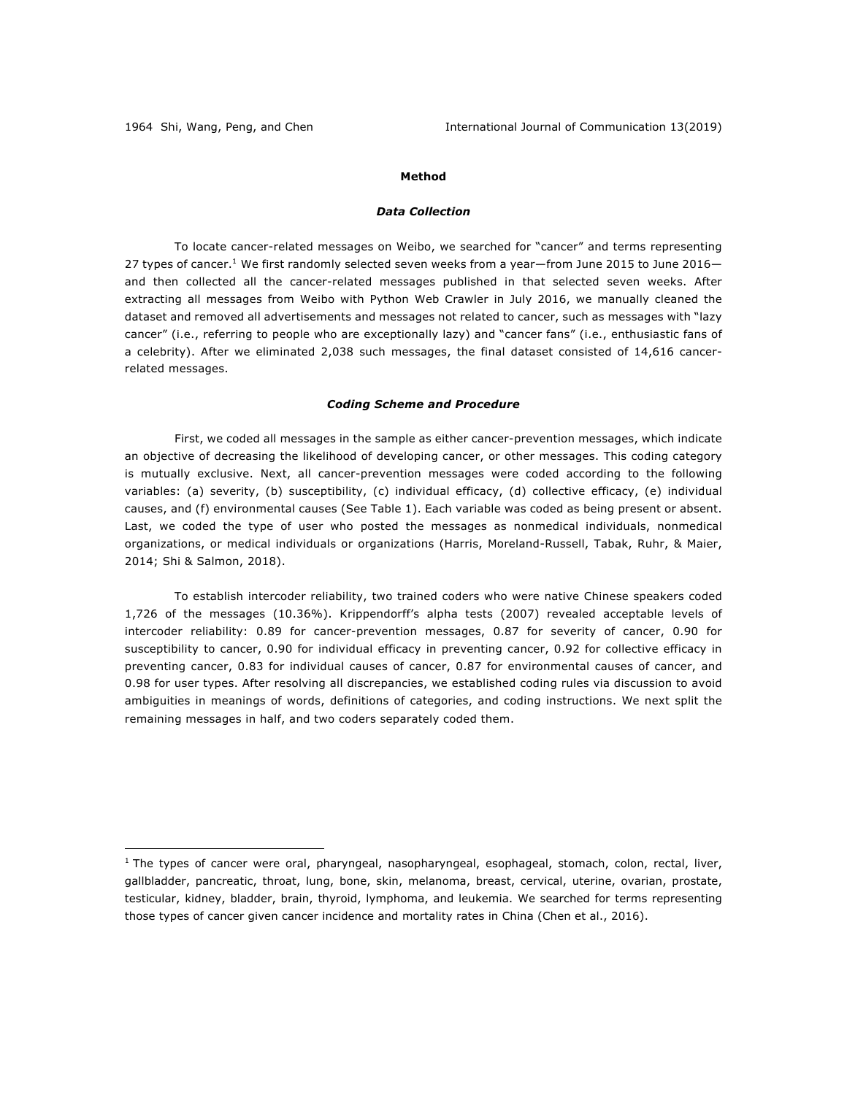1

# **Method**

## *Data Collection*

To locate cancer-related messages on Weibo, we searched for "cancer" and terms representing 27 types of cancer.<sup>1</sup> We first randomly selected seven weeks from a year—from June 2015 to June 2016 and then collected all the cancer-related messages published in that selected seven weeks. After extracting all messages from Weibo with Python Web Crawler in July 2016, we manually cleaned the dataset and removed all advertisements and messages not related to cancer, such as messages with "lazy cancer" (i.e., referring to people who are exceptionally lazy) and "cancer fans" (i.e., enthusiastic fans of a celebrity). After we eliminated 2,038 such messages, the final dataset consisted of 14,616 cancerrelated messages.

### *Coding Scheme and Procedure*

First, we coded all messages in the sample as either cancer-prevention messages, which indicate an objective of decreasing the likelihood of developing cancer, or other messages. This coding category is mutually exclusive. Next, all cancer-prevention messages were coded according to the following variables: (a) severity, (b) susceptibility, (c) individual efficacy, (d) collective efficacy, (e) individual causes, and (f) environmental causes (See Table 1). Each variable was coded as being present or absent. Last, we coded the type of user who posted the messages as nonmedical individuals, nonmedical organizations, or medical individuals or organizations (Harris, Moreland-Russell, Tabak, Ruhr, & Maier, 2014; Shi & Salmon, 2018).

To establish intercoder reliability, two trained coders who were native Chinese speakers coded 1,726 of the messages (10.36%). Krippendorff's alpha tests (2007) revealed acceptable levels of intercoder reliability: 0.89 for cancer-prevention messages, 0.87 for severity of cancer, 0.90 for susceptibility to cancer, 0.90 for individual efficacy in preventing cancer, 0.92 for collective efficacy in preventing cancer, 0.83 for individual causes of cancer, 0.87 for environmental causes of cancer, and 0.98 for user types. After resolving all discrepancies, we established coding rules via discussion to avoid ambiguities in meanings of words, definitions of categories, and coding instructions. We next split the remaining messages in half, and two coders separately coded them.

 $1$  The types of cancer were oral, pharyngeal, nasopharyngeal, esophageal, stomach, colon, rectal, liver, gallbladder, pancreatic, throat, lung, bone, skin, melanoma, breast, cervical, uterine, ovarian, prostate, testicular, kidney, bladder, brain, thyroid, lymphoma, and leukemia. We searched for terms representing those types of cancer given cancer incidence and mortality rates in China (Chen et al., 2016).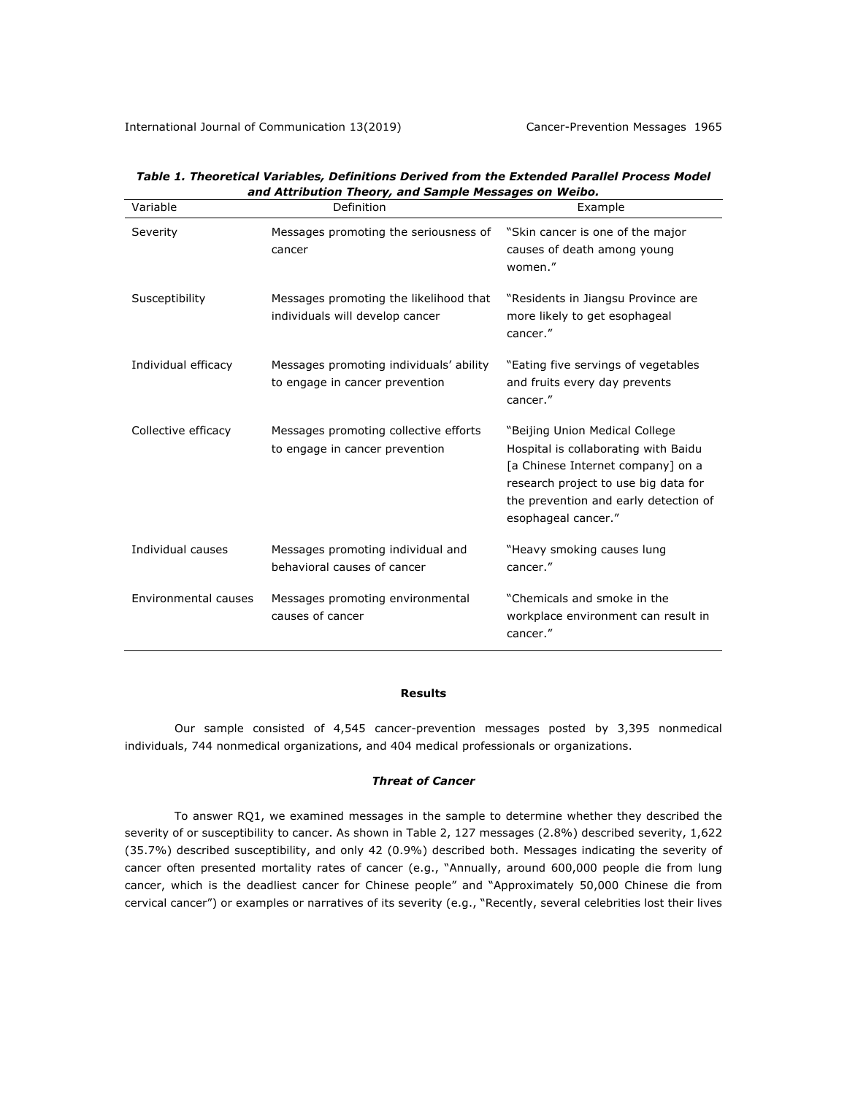| Variable             | Definition                                                                | Example                                                                                                                                                                                                             |
|----------------------|---------------------------------------------------------------------------|---------------------------------------------------------------------------------------------------------------------------------------------------------------------------------------------------------------------|
| Severity             | Messages promoting the seriousness of<br>cancer                           | "Skin cancer is one of the major<br>causes of death among young<br>women."                                                                                                                                          |
| Susceptibility       | Messages promoting the likelihood that<br>individuals will develop cancer | "Residents in Jiangsu Province are<br>more likely to get esophageal<br>cancer."                                                                                                                                     |
| Individual efficacy  | Messages promoting individuals' ability<br>to engage in cancer prevention | "Eating five servings of vegetables"<br>and fruits every day prevents<br>cancer."                                                                                                                                   |
| Collective efficacy  | Messages promoting collective efforts<br>to engage in cancer prevention   | "Beijing Union Medical College<br>Hospital is collaborating with Baidu<br>[a Chinese Internet company] on a<br>research project to use big data for<br>the prevention and early detection of<br>esophageal cancer." |
| Individual causes    | Messages promoting individual and<br>behavioral causes of cancer          | "Heavy smoking causes lung<br>cancer."                                                                                                                                                                              |
| Environmental causes | Messages promoting environmental<br>causes of cancer                      | "Chemicals and smoke in the<br>workplace environment can result in<br>cancer."                                                                                                                                      |

*Table 1. Theoretical Variables, Definitions Derived from the Extended Parallel Process Model and Attribution Theory, and Sample Messages on Weibo.*

#### **Results**

Our sample consisted of 4,545 cancer-prevention messages posted by 3,395 nonmedical individuals, 744 nonmedical organizations, and 404 medical professionals or organizations.

#### *Threat of Cancer*

To answer RQ1, we examined messages in the sample to determine whether they described the severity of or susceptibility to cancer. As shown in Table 2, 127 messages (2.8%) described severity, 1,622 (35.7%) described susceptibility, and only 42 (0.9%) described both. Messages indicating the severity of cancer often presented mortality rates of cancer (e.g., "Annually, around 600,000 people die from lung cancer, which is the deadliest cancer for Chinese people" and "Approximately 50,000 Chinese die from cervical cancer") or examples or narratives of its severity (e.g., "Recently, several celebrities lost their lives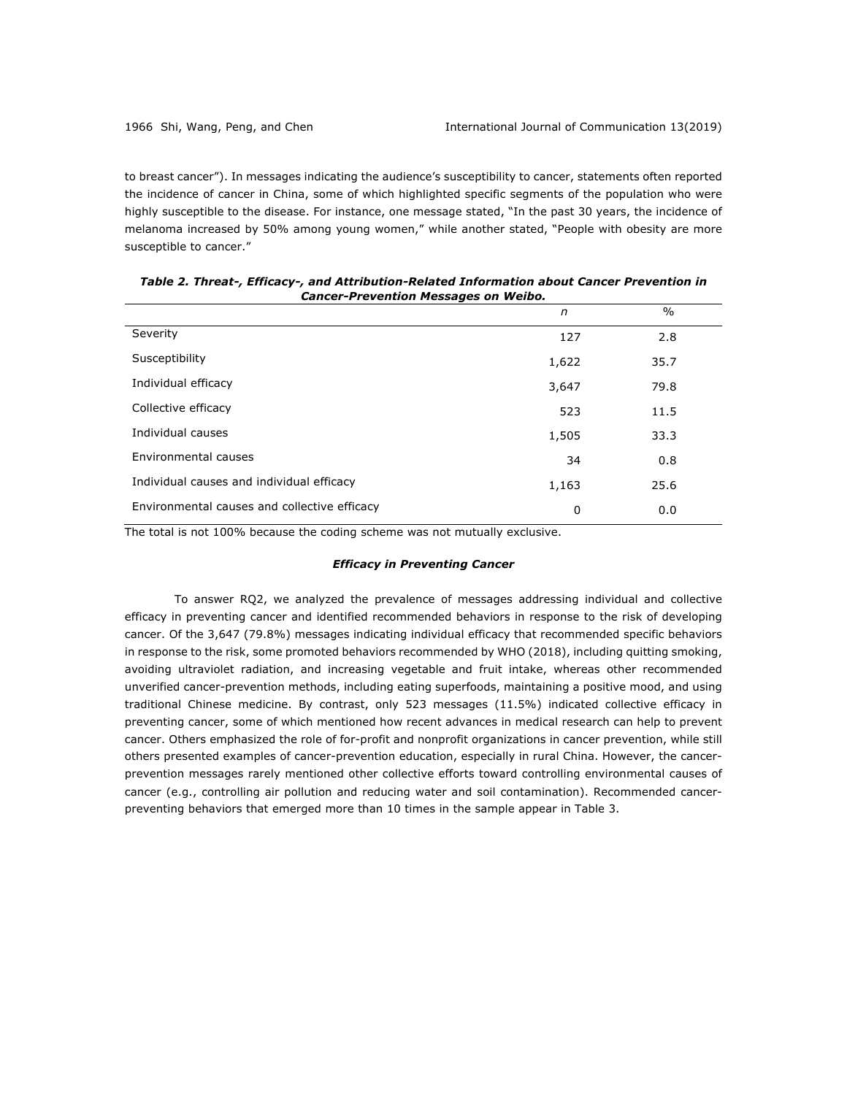to breast cancer"). In messages indicating the audience's susceptibility to cancer, statements often reported the incidence of cancer in China, some of which highlighted specific segments of the population who were highly susceptible to the disease. For instance, one message stated, "In the past 30 years, the incidence of melanoma increased by 50% among young women," while another stated, "People with obesity are more susceptible to cancer."

|                                              | n     | $\%$ |  |
|----------------------------------------------|-------|------|--|
| Severity                                     | 127   | 2.8  |  |
| Susceptibility                               | 1,622 | 35.7 |  |
| Individual efficacy                          | 3,647 | 79.8 |  |
| Collective efficacy                          | 523   | 11.5 |  |
| Individual causes                            | 1,505 | 33.3 |  |
| Environmental causes                         | 34    | 0.8  |  |
| Individual causes and individual efficacy    | 1,163 | 25.6 |  |
| Environmental causes and collective efficacy | 0     | 0.0  |  |

*Table 2. Threat-, Efficacy-, and Attribution-Related Information about Cancer Prevention in Cancer-Prevention Messages on Weibo.*

The total is not 100% because the coding scheme was not mutually exclusive.

#### *Efficacy in Preventing Cancer*

To answer RQ2, we analyzed the prevalence of messages addressing individual and collective efficacy in preventing cancer and identified recommended behaviors in response to the risk of developing cancer. Of the 3,647 (79.8%) messages indicating individual efficacy that recommended specific behaviors in response to the risk, some promoted behaviors recommended by WHO (2018), including quitting smoking, avoiding ultraviolet radiation, and increasing vegetable and fruit intake, whereas other recommended unverified cancer-prevention methods, including eating superfoods, maintaining a positive mood, and using traditional Chinese medicine. By contrast, only 523 messages (11.5%) indicated collective efficacy in preventing cancer, some of which mentioned how recent advances in medical research can help to prevent cancer. Others emphasized the role of for-profit and nonprofit organizations in cancer prevention, while still others presented examples of cancer-prevention education, especially in rural China. However, the cancerprevention messages rarely mentioned other collective efforts toward controlling environmental causes of cancer (e.g., controlling air pollution and reducing water and soil contamination). Recommended cancerpreventing behaviors that emerged more than 10 times in the sample appear in Table 3.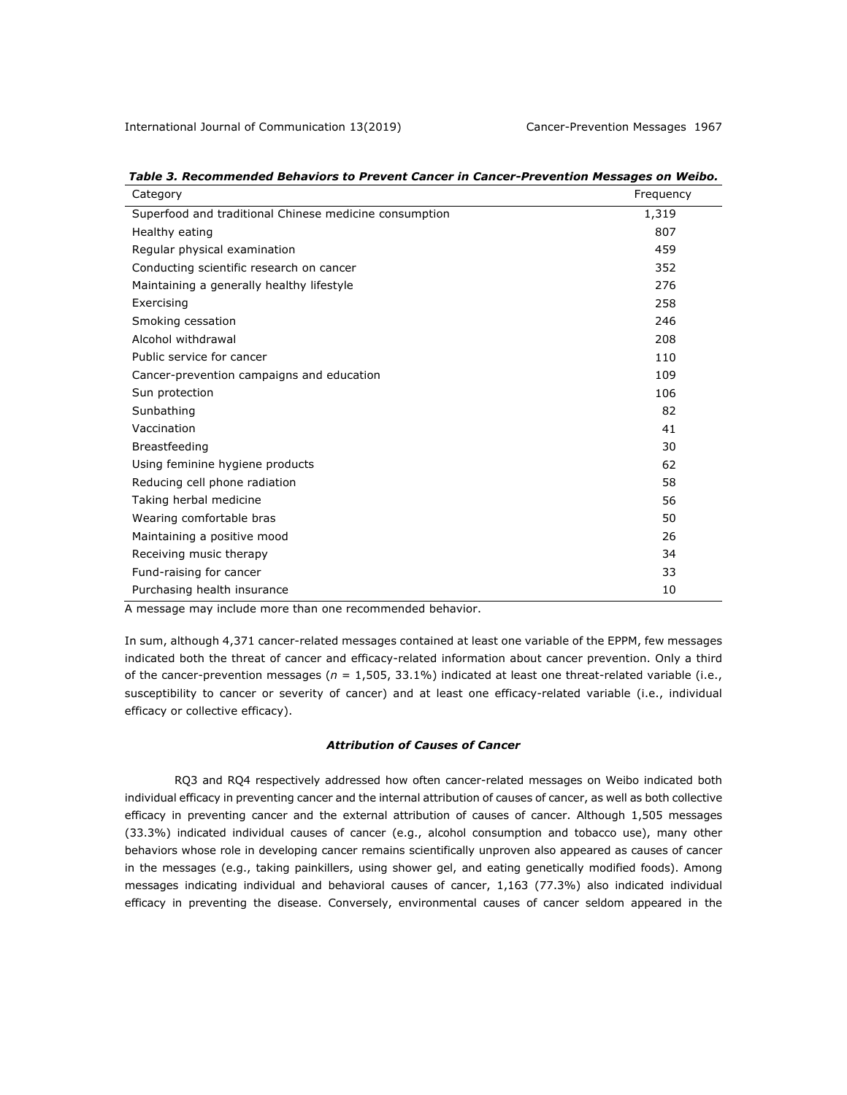| Category                                               | Frequency |
|--------------------------------------------------------|-----------|
| Superfood and traditional Chinese medicine consumption | 1,319     |
| Healthy eating                                         | 807       |
| Regular physical examination                           | 459       |
| Conducting scientific research on cancer               | 352       |
| Maintaining a generally healthy lifestyle              | 276       |
| Exercising                                             | 258       |
| Smoking cessation                                      | 246       |
| Alcohol withdrawal                                     | 208       |
| Public service for cancer                              | 110       |
| Cancer-prevention campaigns and education              | 109       |
| Sun protection                                         | 106       |
| Sunbathing                                             | 82        |
| Vaccination                                            | 41        |
| Breastfeeding                                          | 30        |
| Using feminine hygiene products                        | 62        |
| Reducing cell phone radiation                          | 58        |
| Taking herbal medicine                                 | 56        |
| Wearing comfortable bras                               | 50        |
| Maintaining a positive mood                            | 26        |
| Receiving music therapy                                | 34        |
| Fund-raising for cancer                                | 33        |
| Purchasing health insurance                            | 10        |

*Table 3. Recommended Behaviors to Prevent Cancer in Cancer-Prevention Messages on Weibo.*

A message may include more than one recommended behavior.

In sum, although 4,371 cancer-related messages contained at least one variable of the EPPM, few messages indicated both the threat of cancer and efficacy-related information about cancer prevention. Only a third of the cancer-prevention messages (*n* = 1,505, 33.1%) indicated at least one threat-related variable (i.e., susceptibility to cancer or severity of cancer) and at least one efficacy-related variable (i.e., individual efficacy or collective efficacy).

# *Attribution of Causes of Cancer*

RQ3 and RQ4 respectively addressed how often cancer-related messages on Weibo indicated both individual efficacy in preventing cancer and the internal attribution of causes of cancer, as well as both collective efficacy in preventing cancer and the external attribution of causes of cancer. Although 1,505 messages (33.3%) indicated individual causes of cancer (e.g., alcohol consumption and tobacco use), many other behaviors whose role in developing cancer remains scientifically unproven also appeared as causes of cancer in the messages (e.g., taking painkillers, using shower gel, and eating genetically modified foods). Among messages indicating individual and behavioral causes of cancer, 1,163 (77.3%) also indicated individual efficacy in preventing the disease. Conversely, environmental causes of cancer seldom appeared in the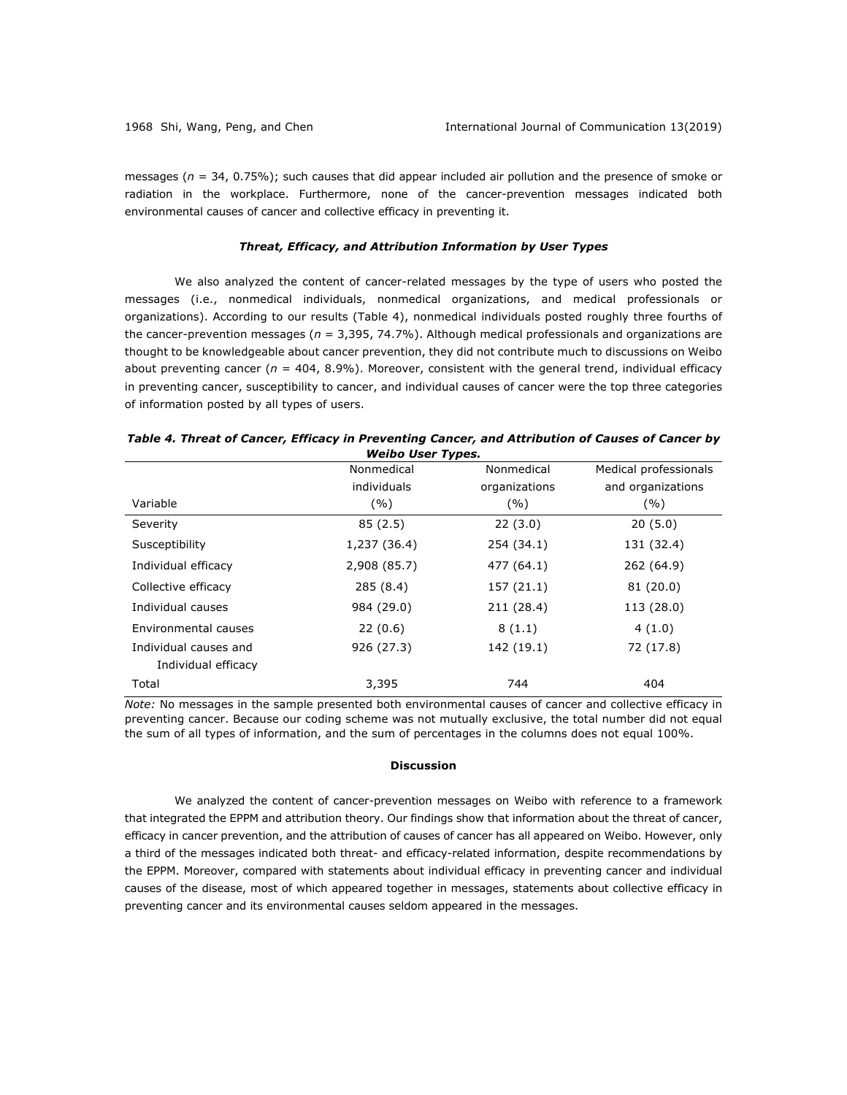messages (*n* = 34, 0.75%); such causes that did appear included air pollution and the presence of smoke or radiation in the workplace. Furthermore, none of the cancer-prevention messages indicated both environmental causes of cancer and collective efficacy in preventing it.

#### *Threat, Efficacy, and Attribution Information by User Types*

We also analyzed the content of cancer-related messages by the type of users who posted the messages (i.e., nonmedical individuals, nonmedical organizations, and medical professionals or organizations). According to our results (Table 4), nonmedical individuals posted roughly three fourths of the cancer-prevention messages ( $n = 3,395, 74.7\%$ ). Although medical professionals and organizations are thought to be knowledgeable about cancer prevention, they did not contribute much to discussions on Weibo about preventing cancer ( $n = 404, 8.9\%$ ). Moreover, consistent with the general trend, individual efficacy in preventing cancer, susceptibility to cancer, and individual causes of cancer were the top three categories of information posted by all types of users.

|                       | Nonmedical   | Nonmedical    | Medical professionals |
|-----------------------|--------------|---------------|-----------------------|
|                       | individuals  | organizations | and organizations     |
| Variable              | (%)          | (%)           | (%)                   |
| Severity              | 85(2.5)      | 22(3.0)       | 20(5.0)               |
| Susceptibility        | 1,237 (36.4) | 254 (34.1)    | 131 (32.4)            |
| Individual efficacy   | 2,908 (85.7) | 477 (64.1)    | 262 (64.9)            |
| Collective efficacy   | 285 (8.4)    | 157 (21.1)    | 81 (20.0)             |
| Individual causes     | 984 (29.0)   | 211 (28.4)    | 113 (28.0)            |
| Environmental causes  | 22(0.6)      | 8(1.1)        | 4(1.0)                |
| Individual causes and | 926 (27.3)   | 142 (19.1)    | 72 (17.8)             |
| Individual efficacy   |              |               |                       |
| Total                 | 3,395        | 744           | 404                   |

|                   | Table 4. Threat of Cancer, Efficacy in Preventing Cancer, and Attribution of Causes of Cancer by |  |
|-------------------|--------------------------------------------------------------------------------------------------|--|
| Weihn Ilser Tynes |                                                                                                  |  |

*Note:* No messages in the sample presented both environmental causes of cancer and collective efficacy in preventing cancer. Because our coding scheme was not mutually exclusive, the total number did not equal the sum of all types of information, and the sum of percentages in the columns does not equal 100%.

#### **Discussion**

We analyzed the content of cancer-prevention messages on Weibo with reference to a framework that integrated the EPPM and attribution theory. Our findings show that information about the threat of cancer, efficacy in cancer prevention, and the attribution of causes of cancer has all appeared on Weibo. However, only a third of the messages indicated both threat- and efficacy-related information, despite recommendations by the EPPM. Moreover, compared with statements about individual efficacy in preventing cancer and individual causes of the disease, most of which appeared together in messages, statements about collective efficacy in preventing cancer and its environmental causes seldom appeared in the messages.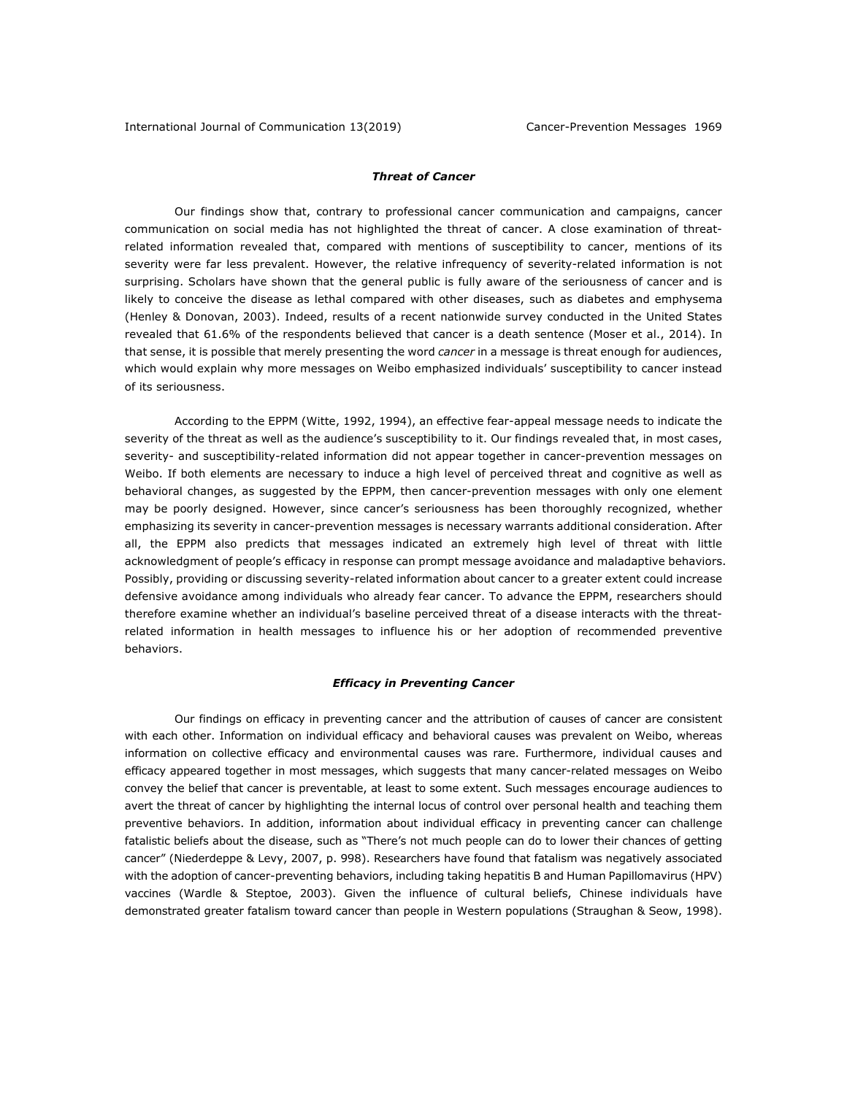## *Threat of Cancer*

Our findings show that, contrary to professional cancer communication and campaigns, cancer communication on social media has not highlighted the threat of cancer. A close examination of threatrelated information revealed that, compared with mentions of susceptibility to cancer, mentions of its severity were far less prevalent. However, the relative infrequency of severity-related information is not surprising. Scholars have shown that the general public is fully aware of the seriousness of cancer and is likely to conceive the disease as lethal compared with other diseases, such as diabetes and emphysema (Henley & Donovan, 2003). Indeed, results of a recent nationwide survey conducted in the United States revealed that 61.6% of the respondents believed that cancer is a death sentence (Moser et al., 2014). In that sense, it is possible that merely presenting the word *cancer* in a message is threat enough for audiences, which would explain why more messages on Weibo emphasized individuals' susceptibility to cancer instead of its seriousness.

According to the EPPM (Witte, 1992, 1994), an effective fear-appeal message needs to indicate the severity of the threat as well as the audience's susceptibility to it. Our findings revealed that, in most cases, severity- and susceptibility-related information did not appear together in cancer-prevention messages on Weibo. If both elements are necessary to induce a high level of perceived threat and cognitive as well as behavioral changes, as suggested by the EPPM, then cancer-prevention messages with only one element may be poorly designed. However, since cancer's seriousness has been thoroughly recognized, whether emphasizing its severity in cancer-prevention messages is necessary warrants additional consideration. After all, the EPPM also predicts that messages indicated an extremely high level of threat with little acknowledgment of people's efficacy in response can prompt message avoidance and maladaptive behaviors. Possibly, providing or discussing severity-related information about cancer to a greater extent could increase defensive avoidance among individuals who already fear cancer. To advance the EPPM, researchers should therefore examine whether an individual's baseline perceived threat of a disease interacts with the threatrelated information in health messages to influence his or her adoption of recommended preventive behaviors.

### *Efficacy in Preventing Cancer*

Our findings on efficacy in preventing cancer and the attribution of causes of cancer are consistent with each other. Information on individual efficacy and behavioral causes was prevalent on Weibo, whereas information on collective efficacy and environmental causes was rare. Furthermore, individual causes and efficacy appeared together in most messages, which suggests that many cancer-related messages on Weibo convey the belief that cancer is preventable, at least to some extent. Such messages encourage audiences to avert the threat of cancer by highlighting the internal locus of control over personal health and teaching them preventive behaviors. In addition, information about individual efficacy in preventing cancer can challenge fatalistic beliefs about the disease, such as "There's not much people can do to lower their chances of getting cancer" (Niederdeppe & Levy, 2007, p. 998). Researchers have found that fatalism was negatively associated with the adoption of cancer-preventing behaviors, including taking hepatitis B and Human Papillomavirus (HPV) vaccines (Wardle & Steptoe, 2003). Given the influence of cultural beliefs, Chinese individuals have demonstrated greater fatalism toward cancer than people in Western populations (Straughan & Seow, 1998).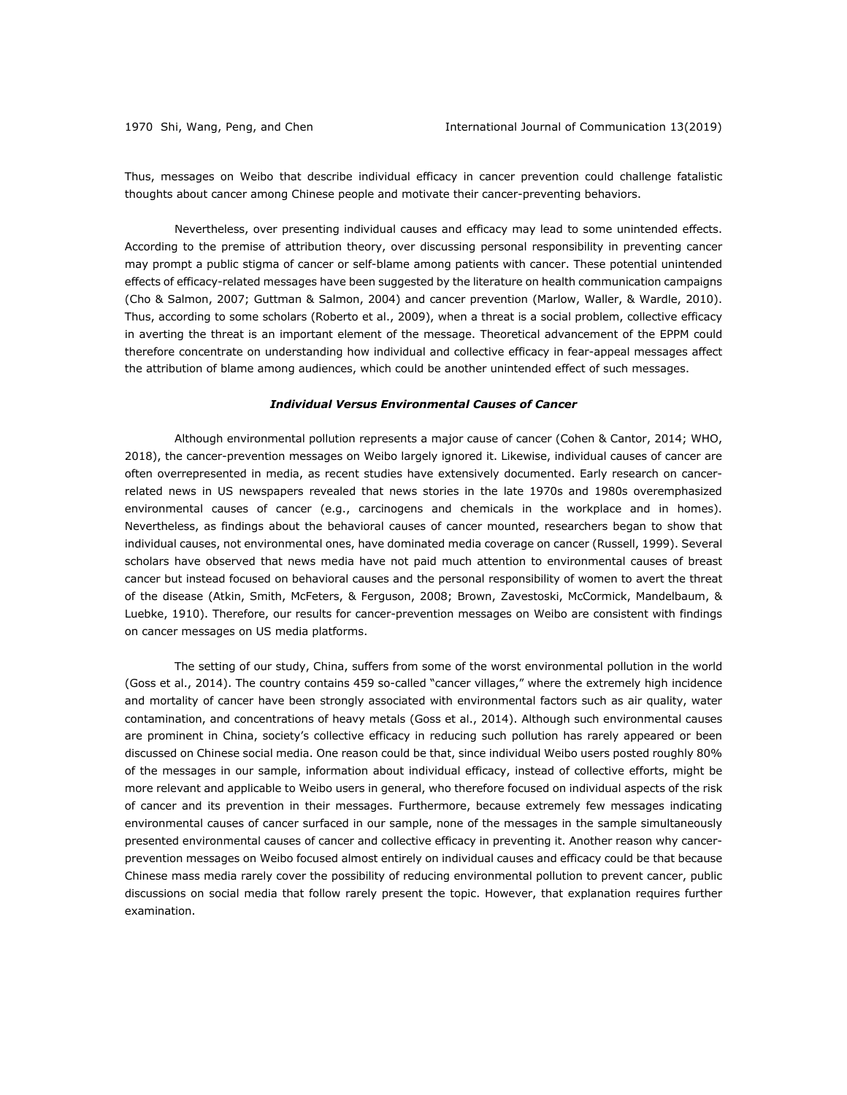Thus, messages on Weibo that describe individual efficacy in cancer prevention could challenge fatalistic thoughts about cancer among Chinese people and motivate their cancer-preventing behaviors.

Nevertheless, over presenting individual causes and efficacy may lead to some unintended effects. According to the premise of attribution theory, over discussing personal responsibility in preventing cancer may prompt a public stigma of cancer or self-blame among patients with cancer. These potential unintended effects of efficacy-related messages have been suggested by the literature on health communication campaigns (Cho & Salmon, 2007; Guttman & Salmon, 2004) and cancer prevention (Marlow, Waller, & Wardle, 2010). Thus, according to some scholars (Roberto et al., 2009), when a threat is a social problem, collective efficacy in averting the threat is an important element of the message. Theoretical advancement of the EPPM could therefore concentrate on understanding how individual and collective efficacy in fear-appeal messages affect the attribution of blame among audiences, which could be another unintended effect of such messages.

#### *Individual Versus Environmental Causes of Cancer*

Although environmental pollution represents a major cause of cancer (Cohen & Cantor, 2014; WHO, 2018), the cancer-prevention messages on Weibo largely ignored it. Likewise, individual causes of cancer are often overrepresented in media, as recent studies have extensively documented. Early research on cancerrelated news in US newspapers revealed that news stories in the late 1970s and 1980s overemphasized environmental causes of cancer (e.g., carcinogens and chemicals in the workplace and in homes). Nevertheless, as findings about the behavioral causes of cancer mounted, researchers began to show that individual causes, not environmental ones, have dominated media coverage on cancer (Russell, 1999). Several scholars have observed that news media have not paid much attention to environmental causes of breast cancer but instead focused on behavioral causes and the personal responsibility of women to avert the threat of the disease (Atkin, Smith, McFeters, & Ferguson, 2008; Brown, Zavestoski, McCormick, Mandelbaum, & Luebke, 1910). Therefore, our results for cancer-prevention messages on Weibo are consistent with findings on cancer messages on US media platforms.

The setting of our study, China, suffers from some of the worst environmental pollution in the world (Goss et al., 2014). The country contains 459 so-called "cancer villages," where the extremely high incidence and mortality of cancer have been strongly associated with environmental factors such as air quality, water contamination, and concentrations of heavy metals (Goss et al., 2014). Although such environmental causes are prominent in China, society's collective efficacy in reducing such pollution has rarely appeared or been discussed on Chinese social media. One reason could be that, since individual Weibo users posted roughly 80% of the messages in our sample, information about individual efficacy, instead of collective efforts, might be more relevant and applicable to Weibo users in general, who therefore focused on individual aspects of the risk of cancer and its prevention in their messages. Furthermore, because extremely few messages indicating environmental causes of cancer surfaced in our sample, none of the messages in the sample simultaneously presented environmental causes of cancer and collective efficacy in preventing it. Another reason why cancerprevention messages on Weibo focused almost entirely on individual causes and efficacy could be that because Chinese mass media rarely cover the possibility of reducing environmental pollution to prevent cancer, public discussions on social media that follow rarely present the topic. However, that explanation requires further examination.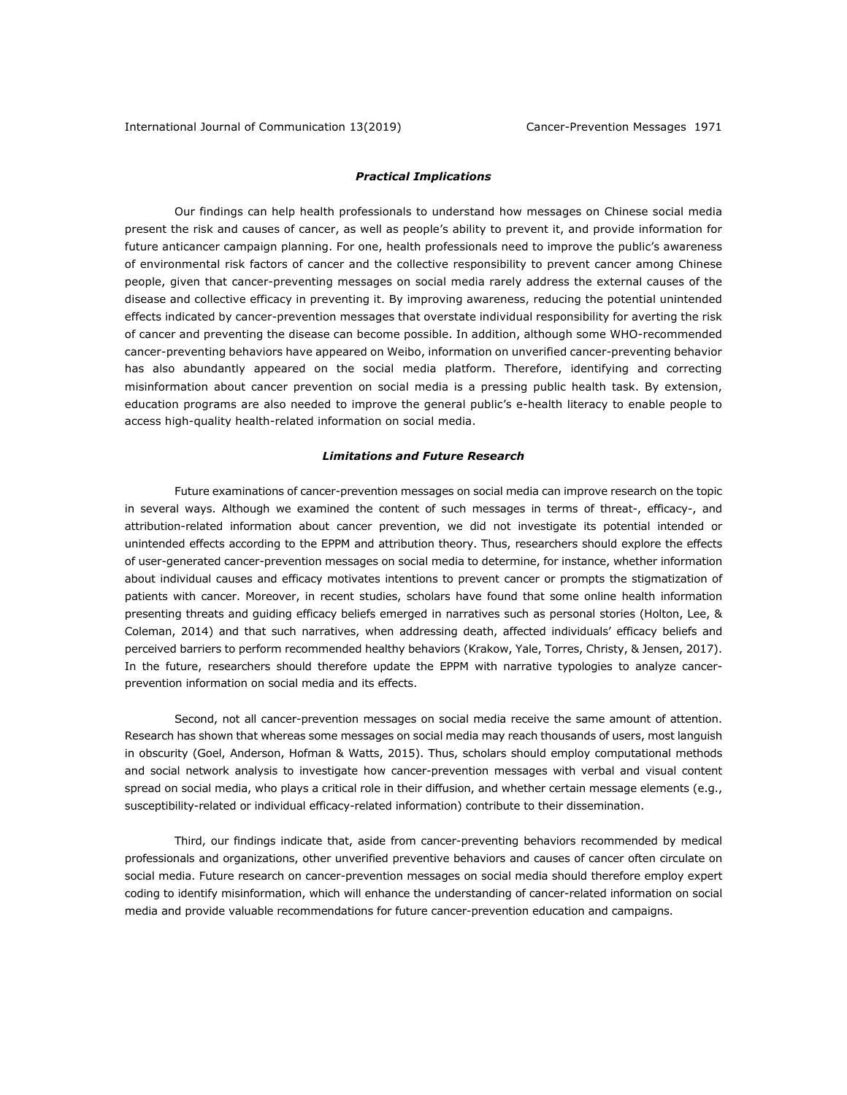## *Practical Implications*

Our findings can help health professionals to understand how messages on Chinese social media present the risk and causes of cancer, as well as people's ability to prevent it, and provide information for future anticancer campaign planning. For one, health professionals need to improve the public's awareness of environmental risk factors of cancer and the collective responsibility to prevent cancer among Chinese people, given that cancer-preventing messages on social media rarely address the external causes of the disease and collective efficacy in preventing it. By improving awareness, reducing the potential unintended effects indicated by cancer-prevention messages that overstate individual responsibility for averting the risk of cancer and preventing the disease can become possible. In addition, although some WHO-recommended cancer-preventing behaviors have appeared on Weibo, information on unverified cancer-preventing behavior has also abundantly appeared on the social media platform. Therefore, identifying and correcting misinformation about cancer prevention on social media is a pressing public health task. By extension, education programs are also needed to improve the general public's e-health literacy to enable people to access high-quality health-related information on social media.

## *Limitations and Future Research*

Future examinations of cancer-prevention messages on social media can improve research on the topic in several ways. Although we examined the content of such messages in terms of threat-, efficacy-, and attribution-related information about cancer prevention, we did not investigate its potential intended or unintended effects according to the EPPM and attribution theory. Thus, researchers should explore the effects of user-generated cancer-prevention messages on social media to determine, for instance, whether information about individual causes and efficacy motivates intentions to prevent cancer or prompts the stigmatization of patients with cancer. Moreover, in recent studies, scholars have found that some online health information presenting threats and guiding efficacy beliefs emerged in narratives such as personal stories (Holton, Lee, & Coleman, 2014) and that such narratives, when addressing death, affected individuals' efficacy beliefs and perceived barriers to perform recommended healthy behaviors (Krakow, Yale, Torres, Christy, & Jensen, 2017). In the future, researchers should therefore update the EPPM with narrative typologies to analyze cancerprevention information on social media and its effects.

Second, not all cancer-prevention messages on social media receive the same amount of attention. Research has shown that whereas some messages on social media may reach thousands of users, most languish in obscurity (Goel, Anderson, Hofman & Watts, 2015). Thus, scholars should employ computational methods and social network analysis to investigate how cancer-prevention messages with verbal and visual content spread on social media, who plays a critical role in their diffusion, and whether certain message elements (e.g., susceptibility-related or individual efficacy-related information) contribute to their dissemination.

Third, our findings indicate that, aside from cancer-preventing behaviors recommended by medical professionals and organizations, other unverified preventive behaviors and causes of cancer often circulate on social media. Future research on cancer-prevention messages on social media should therefore employ expert coding to identify misinformation, which will enhance the understanding of cancer-related information on social media and provide valuable recommendations for future cancer-prevention education and campaigns.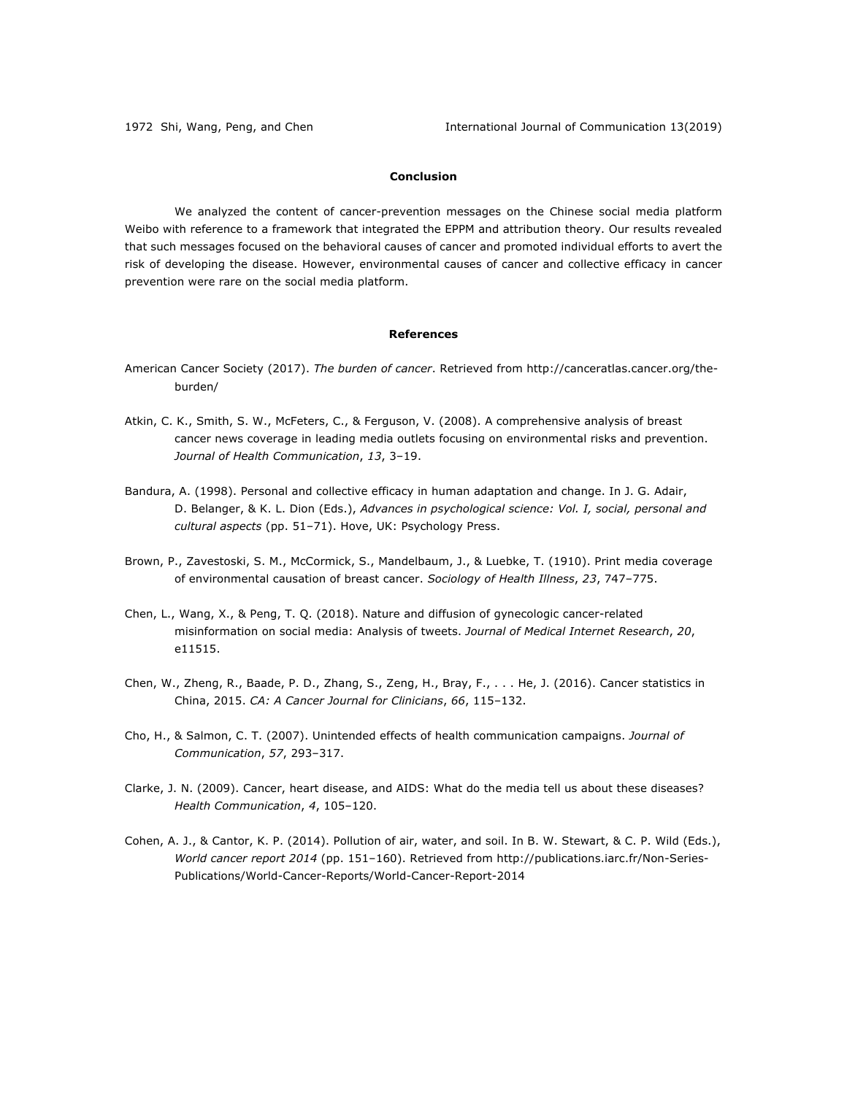# **Conclusion**

We analyzed the content of cancer-prevention messages on the Chinese social media platform Weibo with reference to a framework that integrated the EPPM and attribution theory. Our results revealed that such messages focused on the behavioral causes of cancer and promoted individual efforts to avert the risk of developing the disease. However, environmental causes of cancer and collective efficacy in cancer prevention were rare on the social media platform.

## **References**

- American Cancer Society (2017). *The burden of cancer*. Retrieved from http://canceratlas.cancer.org/theburden/
- Atkin, C. K., Smith, S. W., McFeters, C., & Ferguson, V. (2008). A comprehensive analysis of breast cancer news coverage in leading media outlets focusing on environmental risks and prevention. *Journal of Health Communication*, *13*, 3–19.
- Bandura, A. (1998). Personal and collective efficacy in human adaptation and change. In J. G. Adair, D. Belanger, & K. L. Dion (Eds.), *Advances in psychological science: Vol. I, social, personal and cultural aspects* (pp. 51–71). Hove, UK: Psychology Press.
- Brown, P., Zavestoski, S. M., McCormick, S., Mandelbaum, J., & Luebke, T. (1910). Print media coverage of environmental causation of breast cancer. *Sociology of Health Illness*, *23*, 747–775.
- Chen, L., Wang, X., & Peng, T. Q. (2018). Nature and diffusion of gynecologic cancer-related misinformation on social media: Analysis of tweets. *Journal of Medical Internet Research*, *20*, e11515.
- Chen, W., Zheng, R., Baade, P. D., Zhang, S., Zeng, H., Bray, F., . . . He, J. (2016). Cancer statistics in China, 2015. *CA: A Cancer Journal for Clinicians*, *66*, 115–132.
- Cho, H., & Salmon, C. T. (2007). Unintended effects of health communication campaigns. *Journal of Communication*, *57*, 293–317.
- Clarke, J. N. (2009). Cancer, heart disease, and AIDS: What do the media tell us about these diseases? *Health Communication*, *4*, 105–120.
- Cohen, A. J., & Cantor, K. P. (2014). Pollution of air, water, and soil. In B. W. Stewart, & C. P. Wild (Eds.), *World cancer report 2014* (pp. 151–160). Retrieved from http://publications.iarc.fr/Non-Series-Publications/World-Cancer-Reports/World-Cancer-Report-2014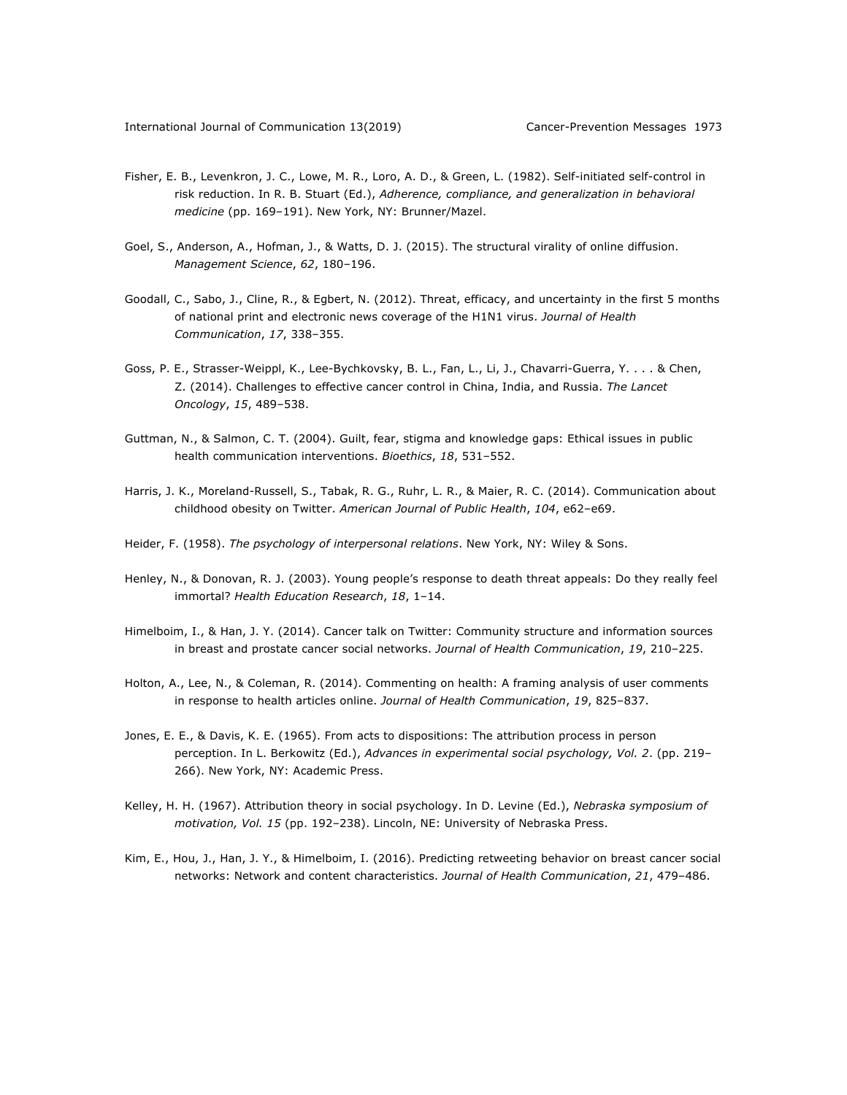- Fisher, E. B., Levenkron, J. C., Lowe, M. R., Loro, A. D., & Green, L. (1982). Self-initiated self-control in risk reduction. In R. B. Stuart (Ed.), *Adherence, compliance, and generalization in behavioral medicine* (pp. 169–191). New York, NY: Brunner/Mazel.
- Goel, S., Anderson, A., Hofman, J., & Watts, D. J. (2015). The structural virality of online diffusion. *Management Science*, *62*, 180–196.
- Goodall, C., Sabo, J., Cline, R., & Egbert, N. (2012). Threat, efficacy, and uncertainty in the first 5 months of national print and electronic news coverage of the H1N1 virus. *Journal of Health Communication*, *17*, 338–355.
- Goss, P. E., Strasser-Weippl, K., Lee-Bychkovsky, B. L., Fan, L., Li, J., Chavarri-Guerra, Y. . . . & Chen, Z. (2014). Challenges to effective cancer control in China, India, and Russia. *The Lancet Oncology*, *15*, 489–538.
- Guttman, N., & Salmon, C. T. (2004). Guilt, fear, stigma and knowledge gaps: Ethical issues in public health communication interventions. *Bioethics*, *18*, 531–552.
- Harris, J. K., Moreland-Russell, S., Tabak, R. G., Ruhr, L. R., & Maier, R. C. (2014). Communication about childhood obesity on Twitter. *American Journal of Public Health*, *104*, e62–e69.
- Heider, F. (1958). *The psychology of interpersonal relations*. New York, NY: Wiley & Sons.
- Henley, N., & Donovan, R. J. (2003). Young people's response to death threat appeals: Do they really feel immortal? *Health Education Research*, *18*, 1–14.
- Himelboim, I., & Han, J. Y. (2014). Cancer talk on Twitter: Community structure and information sources in breast and prostate cancer social networks. *Journal of Health Communication*, *19*, 210–225.
- Holton, A., Lee, N., & Coleman, R. (2014). Commenting on health: A framing analysis of user comments in response to health articles online. *Journal of Health Communication*, *19*, 825–837.
- Jones, E. E., & Davis, K. E. (1965). From acts to dispositions: The attribution process in person perception. In L. Berkowitz (Ed.), *Advances in experimental social psychology, Vol. 2*. (pp. 219– 266). New York, NY: Academic Press.
- Kelley, H. H. (1967). Attribution theory in social psychology. In D. Levine (Ed.), *Nebraska symposium of motivation, Vol. 15* (pp. 192–238). Lincoln, NE: University of Nebraska Press.
- Kim, E., Hou, J., Han, J. Y., & Himelboim, I. (2016). Predicting retweeting behavior on breast cancer social networks: Network and content characteristics. *Journal of Health Communication*, *21*, 479–486.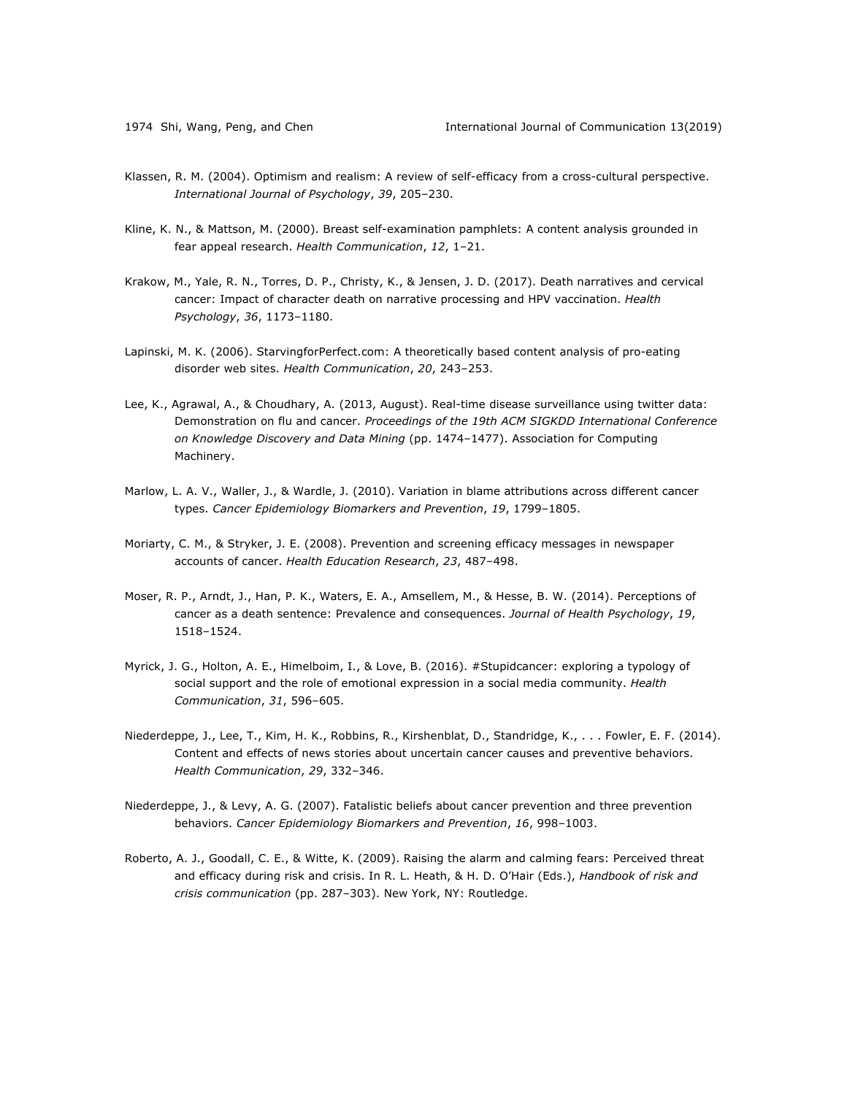- Klassen, R. M. (2004). Optimism and realism: A review of self-efficacy from a cross-cultural perspective. *International Journal of Psychology*, *39*, 205–230.
- Kline, K. N., & Mattson, M. (2000). Breast self-examination pamphlets: A content analysis grounded in fear appeal research. *Health Communication*, *12*, 1–21.
- Krakow, M., Yale, R. N., Torres, D. P., Christy, K., & Jensen, J. D. (2017). Death narratives and cervical cancer: Impact of character death on narrative processing and HPV vaccination. *Health Psychology*, *36*, 1173–1180.
- Lapinski, M. K. (2006). StarvingforPerfect.com: A theoretically based content analysis of pro-eating disorder web sites. *Health Communication*, *20*, 243–253.
- Lee, K., Agrawal, A., & Choudhary, A. (2013, August). Real-time disease surveillance using twitter data: Demonstration on flu and cancer. *Proceedings of the 19th ACM SIGKDD International Conference on Knowledge Discovery and Data Mining* (pp. 1474–1477). Association for Computing Machinery.
- Marlow, L. A. V., Waller, J., & Wardle, J. (2010). Variation in blame attributions across different cancer types. *Cancer Epidemiology Biomarkers and Prevention*, *19*, 1799–1805.
- Moriarty, C. M., & Stryker, J. E. (2008). Prevention and screening efficacy messages in newspaper accounts of cancer. *Health Education Research*, *23*, 487–498.
- Moser, R. P., Arndt, J., Han, P. K., Waters, E. A., Amsellem, M., & Hesse, B. W. (2014). Perceptions of cancer as a death sentence: Prevalence and consequences. *Journal of Health Psychology*, *19*, 1518–1524.
- Myrick, J. G., Holton, A. E., Himelboim, I., & Love, B. (2016). #Stupidcancer: exploring a typology of social support and the role of emotional expression in a social media community. *Health Communication*, *31*, 596–605.
- Niederdeppe, J., Lee, T., Kim, H. K., Robbins, R., Kirshenblat, D., Standridge, K., . . . Fowler, E. F. (2014). Content and effects of news stories about uncertain cancer causes and preventive behaviors. *Health Communication*, *29*, 332–346.
- Niederdeppe, J., & Levy, A. G. (2007). Fatalistic beliefs about cancer prevention and three prevention behaviors. *Cancer Epidemiology Biomarkers and Prevention*, *16*, 998–1003.
- Roberto, A. J., Goodall, C. E., & Witte, K. (2009). Raising the alarm and calming fears: Perceived threat and efficacy during risk and crisis. In R. L. Heath, & H. D. O'Hair (Eds.), *Handbook of risk and crisis communication* (pp. 287–303). New York, NY: Routledge.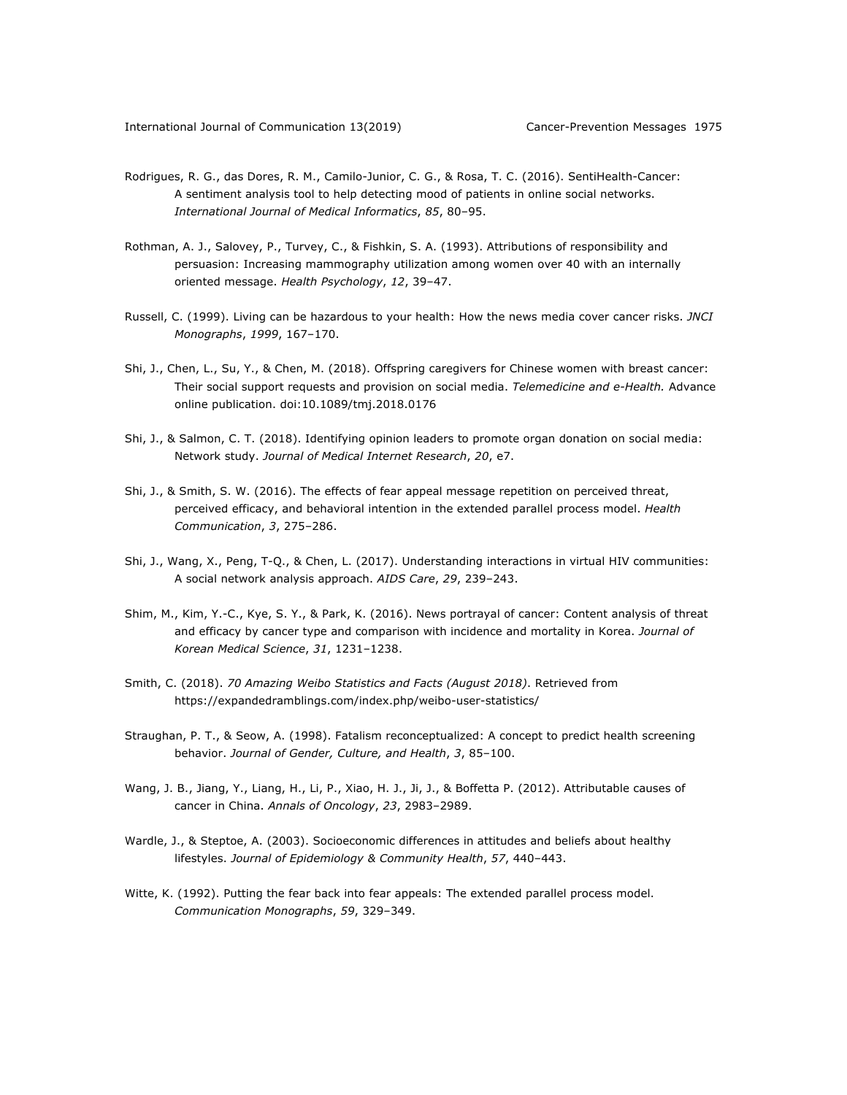- Rodrigues, R. G., das Dores, R. M., Camilo-Junior, C. G., & Rosa, T. C. (2016). SentiHealth-Cancer: A sentiment analysis tool to help detecting mood of patients in online social networks. *International Journal of Medical Informatics*, *85*, 80–95.
- Rothman, A. J., Salovey, P., Turvey, C., & Fishkin, S. A. (1993). Attributions of responsibility and persuasion: Increasing mammography utilization among women over 40 with an internally oriented message. *Health Psychology*, *12*, 39–47.
- Russell, C. (1999). Living can be hazardous to your health: How the news media cover cancer risks. *JNCI Monographs*, *1999*, 167–170.
- Shi, J., Chen, L., Su, Y., & Chen, M. (2018). Offspring caregivers for Chinese women with breast cancer: Their social support requests and provision on social media. *Telemedicine and e-Health.* Advance online publication. doi:10.1089/tmj.2018.0176
- Shi, J., & Salmon, C. T. (2018). Identifying opinion leaders to promote organ donation on social media: Network study. *Journal of Medical Internet Research*, *20*, e7.
- Shi, J., & Smith, S. W. (2016). The effects of fear appeal message repetition on perceived threat, perceived efficacy, and behavioral intention in the extended parallel process model. *Health Communication*, *3*, 275–286.
- Shi, J., Wang, X., Peng, T-Q., & Chen, L. (2017). Understanding interactions in virtual HIV communities: A social network analysis approach. *AIDS Care*, *29*, 239–243.
- Shim, M., Kim, Y.-C., Kye, S. Y., & Park, K. (2016). News portrayal of cancer: Content analysis of threat and efficacy by cancer type and comparison with incidence and mortality in Korea. *Journal of Korean Medical Science*, *31*, 1231–1238.
- Smith, C. (2018). *70 Amazing Weibo Statistics and Facts (August 2018)*. Retrieved from https://expandedramblings.com/index.php/weibo-user-statistics/
- Straughan, P. T., & Seow, A. (1998). Fatalism reconceptualized: A concept to predict health screening behavior. *Journal of Gender, Culture, and Health*, *3*, 85–100.
- Wang, J. B., Jiang, Y., Liang, H., Li, P., Xiao, H. J., Ji, J., & Boffetta P. (2012). Attributable causes of cancer in China. *Annals of Oncology*, *23*, 2983–2989.
- Wardle, J., & Steptoe, A. (2003). Socioeconomic differences in attitudes and beliefs about healthy lifestyles. *Journal of Epidemiology & Community Health*, *57*, 440–443.
- Witte, K. (1992). Putting the fear back into fear appeals: The extended parallel process model. *Communication Monographs*, *59*, 329–349.